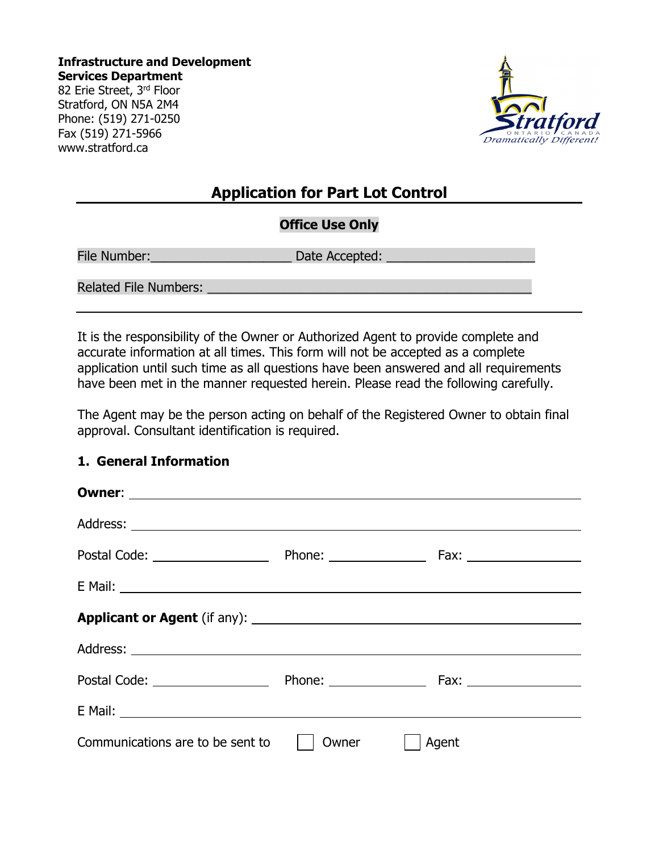**Infrastructure and Development Services Department** 82 Erie Street, 3rd Floor Stratford, ON N5A 2M4 Phone: (519) 271-0250 Fax (519) 271-5966 www.stratford.ca



# **Application for Part Lot Control**

## **Office Use Only**

File Number:\_\_\_\_\_\_\_\_\_\_\_\_\_\_\_\_\_\_\_\_ Date Accepted: \_\_\_\_\_\_\_\_\_\_\_\_\_\_\_\_\_\_\_\_\_

Related File Numbers:

It is the responsibility of the Owner or Authorized Agent to provide complete and accurate information at all times. This form will not be accepted as a complete application until such time as all questions have been answered and all requirements have been met in the manner requested herein. Please read the following carefully.

The Agent may be the person acting on behalf of the Registered Owner to obtain final approval. Consultant identification is required.

#### **1. General Information**

| Postal Code: 2000                                                                                                                                                                                                                    |       |       |
|--------------------------------------------------------------------------------------------------------------------------------------------------------------------------------------------------------------------------------------|-------|-------|
| E Mail: <u>Alexander Alexander Alexander Alexander Alexander Alexander Alexander Alexander Alexander Alexander Alexander Alexander Alexander Alexander Alexander Alexander Alexander Alexander Alexander Alexander Alexander Ale</u> |       |       |
|                                                                                                                                                                                                                                      |       |       |
|                                                                                                                                                                                                                                      |       |       |
|                                                                                                                                                                                                                                      |       |       |
| E Mail: National Accounts and Accounts and Accounts and Accounts and Accounts and Accounts and Accounts and Accounts and Accounts and Accounts and Accounts and Accounts and Accounts and Accounts and Accounts and Accounts a       |       |       |
| Communications are to be sent to                                                                                                                                                                                                     | Owner | Agent |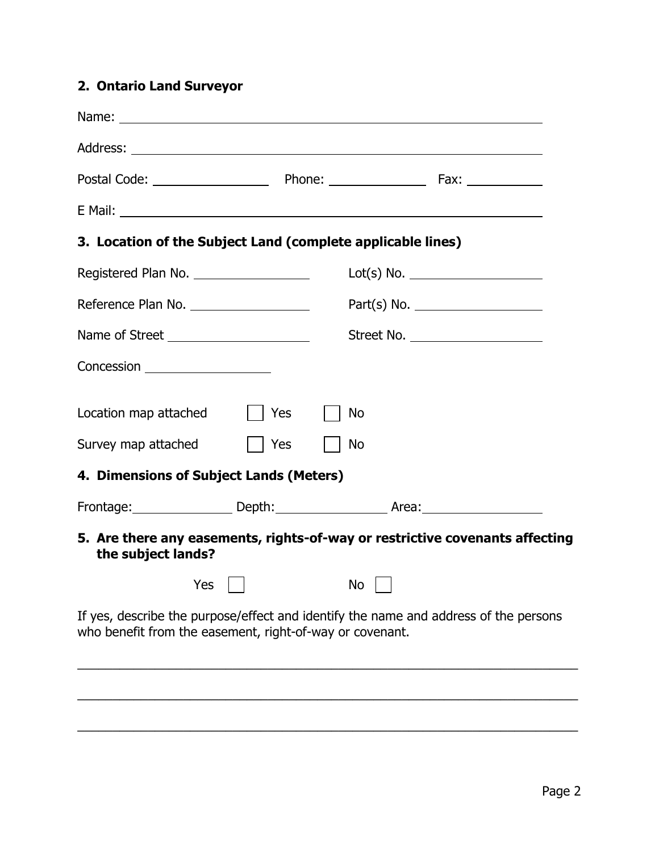# **2. Ontario Land Surveyor**

| E Mail: Entrance and the second contract of the second contract of the second contract of the second contract of the second contract of the second contract of the second contract of the second contract of the second contra |                                                                                      |
|--------------------------------------------------------------------------------------------------------------------------------------------------------------------------------------------------------------------------------|--------------------------------------------------------------------------------------|
| 3. Location of the Subject Land (complete applicable lines)                                                                                                                                                                    |                                                                                      |
| Registered Plan No. ______________________                                                                                                                                                                                     | Lot(s) No.                                                                           |
|                                                                                                                                                                                                                                | Part(s) No.                                                                          |
| Name of Street ________________________                                                                                                                                                                                        | Street No.                                                                           |
| Concession ____________________                                                                                                                                                                                                |                                                                                      |
| Location map attached<br>$\vert$   Yes                                                                                                                                                                                         | No                                                                                   |
| Survey map attached<br>$\vert$   Yes                                                                                                                                                                                           | No                                                                                   |
| 4. Dimensions of Subject Lands (Meters)                                                                                                                                                                                        |                                                                                      |
|                                                                                                                                                                                                                                | Frontage: Depth: Repress Area: Reading Contage:                                      |
| the subject lands?                                                                                                                                                                                                             | 5. Are there any easements, rights-of-way or restrictive covenants affecting         |
| $Yes$ $\Box$ $\Box$ $\Box$ $\Box$                                                                                                                                                                                              |                                                                                      |
| who benefit from the easement, right-of-way or covenant.                                                                                                                                                                       | If yes, describe the purpose/effect and identify the name and address of the persons |
|                                                                                                                                                                                                                                |                                                                                      |

\_\_\_\_\_\_\_\_\_\_\_\_\_\_\_\_\_\_\_\_\_\_\_\_\_\_\_\_\_\_\_\_\_\_\_\_\_\_\_\_\_\_\_\_\_\_\_\_\_\_\_\_\_\_\_\_\_\_\_\_\_\_\_\_\_\_\_\_\_\_\_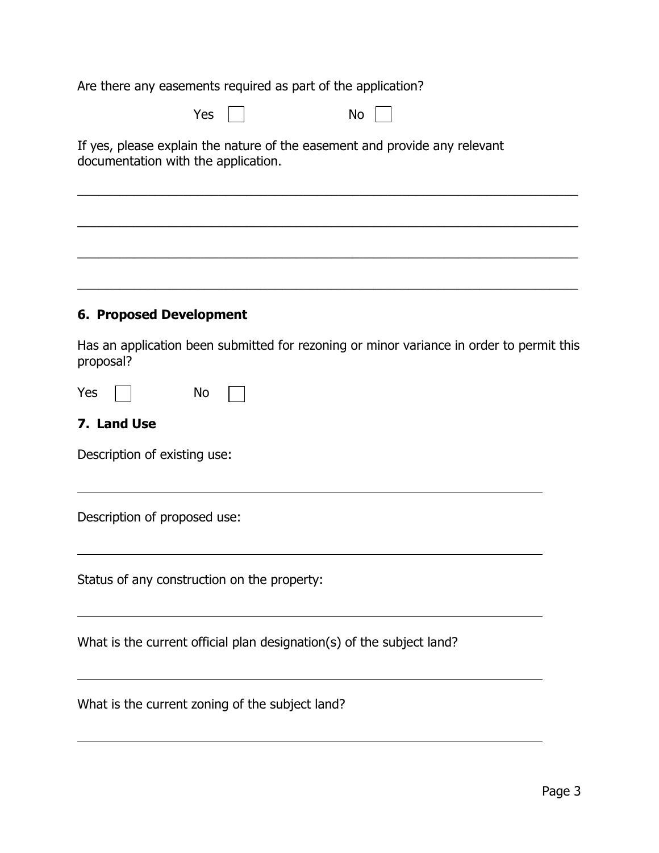Are there any easements required as part of the application?

l

| Yes<br>No                                                                                                         |
|-------------------------------------------------------------------------------------------------------------------|
| If yes, please explain the nature of the easement and provide any relevant<br>documentation with the application. |
|                                                                                                                   |
|                                                                                                                   |
| <b>6. Proposed Development</b>                                                                                    |
| Has an application been submitted for rezoning or minor variance in order to permit this<br>proposal?             |
| No<br>Yes                                                                                                         |
| 7. Land Use                                                                                                       |
| Description of existing use:                                                                                      |
| Description of proposed use:                                                                                      |
| Status of any construction on the property:                                                                       |
| What is the current official plan designation(s) of the subject land?                                             |
| What is the current zoning of the subject land?                                                                   |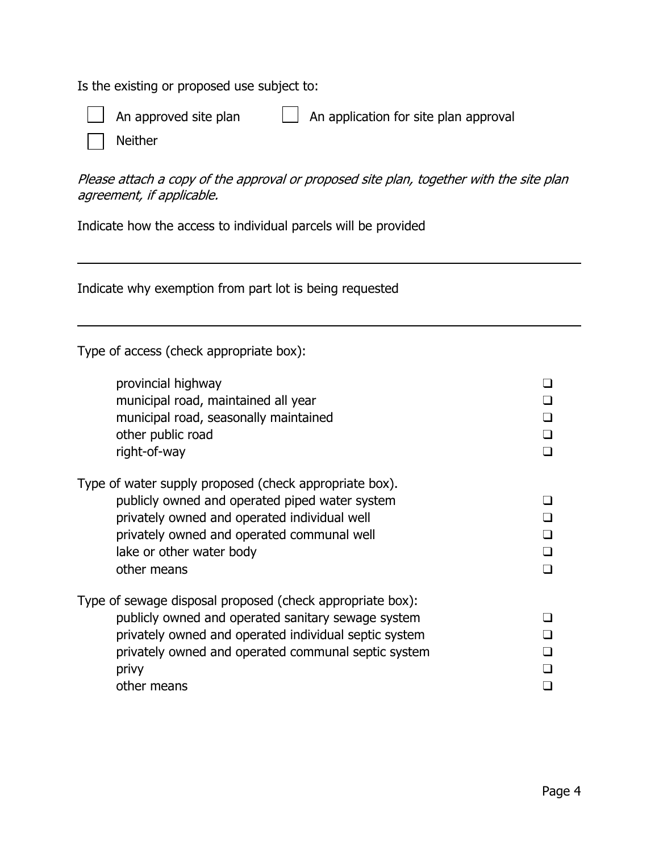Is the existing or proposed use subject to:



 $\overline{a}$ 

 $\overline{a}$ 

An approved site plan  $\Box$  An application for site plan approval

Neither

Please attach a copy of the approval or proposed site plan, together with the site plan agreement, if applicable.

Indicate how the access to individual parcels will be provided

Indicate why exemption from part lot is being requested

Type of access (check appropriate box):

| provincial highway<br>municipal road, maintained all year<br>municipal road, seasonally maintained<br>other public road<br>right-of-way                                                                                                                 |  |
|---------------------------------------------------------------------------------------------------------------------------------------------------------------------------------------------------------------------------------------------------------|--|
| Type of water supply proposed (check appropriate box).<br>publicly owned and operated piped water system<br>privately owned and operated individual well<br>privately owned and operated communal well<br>lake or other water body<br>other means       |  |
| Type of sewage disposal proposed (check appropriate box):<br>publicly owned and operated sanitary sewage system<br>privately owned and operated individual septic system<br>privately owned and operated communal septic system<br>privy<br>other means |  |